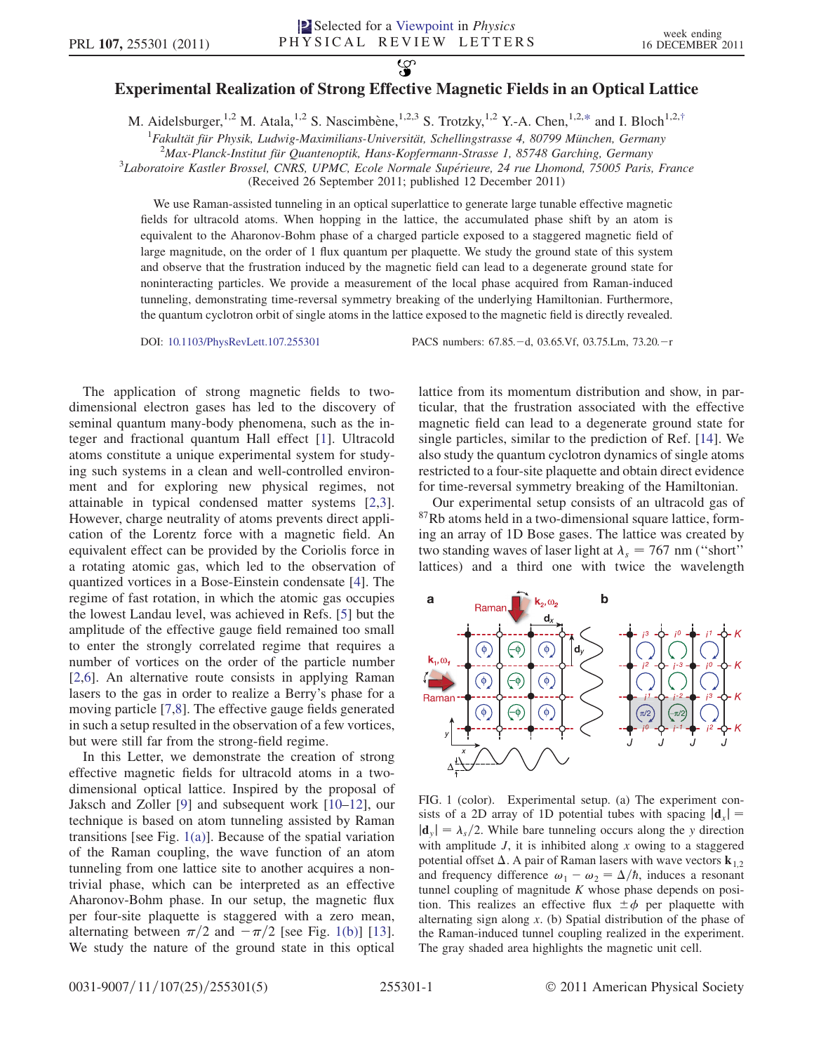## $\overline{\mathbf{S}}$ Experimental Realization of Strong Effective Magnetic Fields in an Optical Lattice

<span id="page-0-1"></span>M. Aidelsburger,<sup>1,2</sup> M. Atala,<sup>1,2</sup> S. Nascimbène,<sup>1,2,3</sup> S. Trotzky,<sup>1,2</sup> Y.-A. Chen,<sup>1,2[,\\*](#page-3-0)</sup> and I. Bloch<sup>1,2,[†](#page-3-1)</sup>

<sup>1</sup> Fakultät für Physik, Ludwig-Maximilians-Universität, Schellingstrasse 4, 80799 München, Germany<br><sup>2</sup>Max Planck Institut für Quantenoptik, Hans Kopfermann Strasse 1, 85748 Garchina, Germany

 $^{2}$ Max-Planck-Institut für Quantenoptik, Hans-Kopfermann-Strasse 1, 85748 Garching, Germany

<sup>3</sup>Laboratoire Kastler Brossel, CNRS, UPMC, Ecole Normale Supérieure, 24 rue Lhomond, 75005 Paris, France

(Received 26 September 2011; published 12 December 2011)

We use Raman-assisted tunneling in an optical superlattice to generate large tunable effective magnetic fields for ultracold atoms. When hopping in the lattice, the accumulated phase shift by an atom is equivalent to the Aharonov-Bohm phase of a charged particle exposed to a staggered magnetic field of large magnitude, on the order of 1 flux quantum per plaquette. We study the ground state of this system and observe that the frustration induced by the magnetic field can lead to a degenerate ground state for noninteracting particles. We provide a measurement of the local phase acquired from Raman-induced tunneling, demonstrating time-reversal symmetry breaking of the underlying Hamiltonian. Furthermore, the quantum cyclotron orbit of single atoms in the lattice exposed to the magnetic field is directly revealed.

DOI: [10.1103/PhysRevLett.107.255301](http://dx.doi.org/10.1103/PhysRevLett.107.255301) PACS numbers: 67.85. - d, 03.65.Vf, 03.75.Lm, 73.20. - r

The application of strong magnetic fields to twodimensional electron gases has led to the discovery of seminal quantum many-body phenomena, such as the integer and fractional quantum Hall effect [[1](#page-3-2)]. Ultracold atoms constitute a unique experimental system for studying such systems in a clean and well-controlled environment and for exploring new physical regimes, not attainable in typical condensed matter systems [[2](#page-3-3),[3\]](#page-3-4). However, charge neutrality of atoms prevents direct application of the Lorentz force with a magnetic field. An equivalent effect can be provided by the Coriolis force in a rotating atomic gas, which led to the observation of quantized vortices in a Bose-Einstein condensate [\[4\]](#page-3-5). The regime of fast rotation, in which the atomic gas occupies the lowest Landau level, was achieved in Refs. [\[5\]](#page-3-6) but the amplitude of the effective gauge field remained too small to enter the strongly correlated regime that requires a number of vortices on the order of the particle number [\[2,](#page-3-3)[6](#page-3-7)]. An alternative route consists in applying Raman lasers to the gas in order to realize a Berry's phase for a moving particle [\[7](#page-3-8),[8](#page-3-9)]. The effective gauge fields generated in such a setup resulted in the observation of a few vortices, but were still far from the strong-field regime.

In this Letter, we demonstrate the creation of strong effective magnetic fields for ultracold atoms in a twodimensional optical lattice. Inspired by the proposal of Jaksch and Zoller [[9](#page-3-10)] and subsequent work [[10](#page-3-11)–[12](#page-3-12)], our technique is based on atom tunneling assisted by Raman transitions [see Fig. [1\(a\)\]](#page-0-0). Because of the spatial variation of the Raman coupling, the wave function of an atom tunneling from one lattice site to another acquires a nontrivial phase, which can be interpreted as an effective Aharonov-Bohm phase. In our setup, the magnetic flux per four-site plaquette is staggered with a zero mean, alternating between  $\pi/2$  and  $-\pi/2$  [see Fig. [1\(b\)\]](#page-0-0) [\[13\]](#page-3-13). We study the nature of the ground state in this optical

lattice from its momentum distribution and show, in particular, that the frustration associated with the effective magnetic field can lead to a degenerate ground state for single particles, similar to the prediction of Ref. [\[14\]](#page-3-14). We also study the quantum cyclotron dynamics of single atoms restricted to a four-site plaquette and obtain direct evidence for time-reversal symmetry breaking of the Hamiltonian.

Our experimental setup consists of an ultracold gas of 87Rb atoms held in a two-dimensional square lattice, forming an array of 1D Bose gases. The lattice was created by two standing waves of laser light at  $\lambda_s = 767$  nm ("short" lattices) and a third one with twice the wavelength



<span id="page-0-0"></span>FIG. 1 (color). Experimental setup. (a) The experiment consists of a 2D array of 1D potential tubes with spacing  $|\mathbf{d}_x| =$  $|\mathbf{d}_y| = \lambda_s/2$ . While bare tunneling occurs along the y direction with amplitude  $J$ , it is inhibited along  $x$  owing to a staggered potential offset  $\Delta$ . A pair of Raman lasers with wave vectors  $\mathbf{k}_{12}$ and frequency difference  $\omega_1 - \omega_2 = \Delta/\hbar$ , induces a resonant tunnel coupling of magnitude  $K$  whose phase depends on position. This realizes an effective flux  $\pm \phi$  per plaquette with alternating sign along  $x$ . (b) Spatial distribution of the phase of the Raman-induced tunnel coupling realized in the experiment. The gray shaded area highlights the magnetic unit cell.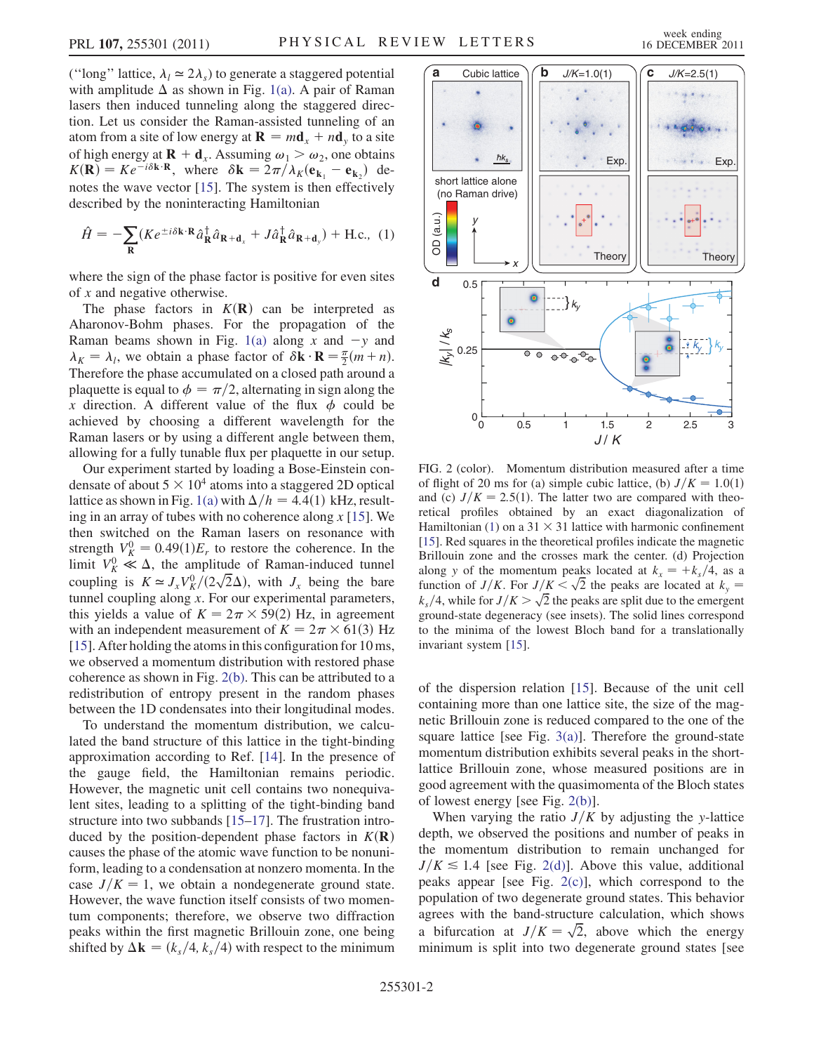<span id="page-1-1"></span>
$$
\hat{H} = -\sum_{\mathbf{R}} (Ke^{\pm i\delta \mathbf{k} \cdot \mathbf{R}} \hat{a}_{\mathbf{R}}^{\dagger} \hat{a}_{\mathbf{R} + \mathbf{d}_{x}} + J \hat{a}_{\mathbf{R}}^{\dagger} \hat{a}_{\mathbf{R} + \mathbf{d}_{y}}) + \text{H.c., (1)}
$$

where the sign of the phase factor is positive for even sites of  $x$  and negative otherwise.

The phase factors in  $K(\mathbf{R})$  can be interpreted as Aharonov-Bohm phases. For the propagation of the Raman beams shown in Fig. [1\(a\)](#page-0-0) along x and  $-y$  and  $\lambda_K = \lambda_l$ , we obtain a phase factor of  $\delta \mathbf{k} \cdot \mathbf{R} = \frac{\pi}{2}(m+n)$ . Therefore the phase accumulated on a closed path around a plaquette is equal to  $\phi = \pi/2$ , alternating in sign along the x direction. A different value of the flux  $\phi$  could be achieved by choosing a different wavelength for the Raman lasers or by using a different angle between them, allowing for a fully tunable flux per plaquette in our setup.

Our experiment started by loading a Bose-Einstein condensate of about  $5 \times 10^4$  atoms into a staggered 2D optical lattice as shown in Fig. [1\(a\)](#page-0-0) with  $\Delta/h = 4.4(1)$  kHz, resulting in an array of tubes with no coherence along  $x$  [\[15\]](#page-3-15). We then switched on the Raman lasers on resonance with strength  $V_K^0 = 0.49(1)E_r$  to restore the coherence. In the limit  $V_K^0 \ll \Delta$ , the amplitude of Raman-induced tunnel coupling is  $K \simeq J_x V^0_K / (2\sqrt{2}\Delta)$ , with  $J_x$  being the bare tunnel coupling along  $x$ . For our experimental parameters, this yields a value of  $K = 2\pi \times 59(2)$  Hz, in agreement with an independent measurement of  $K = 2\pi \times 61(3)$  Hz [\[15\]](#page-3-15). After holding the atoms in this configuration for 10 ms, we observed a momentum distribution with restored phase coherence as shown in Fig. [2\(b\)](#page-1-0). This can be attributed to a redistribution of entropy present in the random phases between the 1D condensates into their longitudinal modes.

To understand the momentum distribution, we calculated the band structure of this lattice in the tight-binding approximation according to Ref. [[14](#page-3-14)]. In the presence of the gauge field, the Hamiltonian remains periodic. However, the magnetic unit cell contains two nonequivalent sites, leading to a splitting of the tight-binding band structure into two subbands [[15](#page-3-15)[–17\]](#page-3-16). The frustration introduced by the position-dependent phase factors in  $K(\mathbf{R})$ causes the phase of the atomic wave function to be nonuniform, leading to a condensation at nonzero momenta. In the case  $J/K = 1$ , we obtain a nondegenerate ground state. However, the wave function itself consists of two momentum components; therefore, we observe two diffraction peaks within the first magnetic Brillouin zone, one being shifted by  $\Delta \mathbf{k} = (k_s/4, k_s/4)$  with respect to the minimum



<span id="page-1-0"></span>FIG. 2 (color). Momentum distribution measured after a time of flight of 20 ms for (a) simple cubic lattice, (b)  $J/K = 1.0(1)$ and (c)  $J/K = 2.5(1)$ . The latter two are compared with theoretical profiles obtained by an exact diagonalization of Hamiltonian ([1\)](#page-1-1) on a  $31 \times 31$  lattice with harmonic confinement [\[15\]](#page-3-15). Red squares in the theoretical profiles indicate the magnetic Brillouin zone and the crosses mark the center. (d) Projection along y of the momentum peaks located at  $k_x = \frac{1}{k_s}$ /4, as a function of  $J/K$ . For  $J/K < \sqrt{2}$  the peaks are located at  $k_y =$  $k_s/4$ , while for  $J/K > \sqrt{2}$  the peaks are split due to the emergent ground-state degeneracy (see insets). The solid lines correspond to the minima of the lowest Bloch band for a translationally invariant system [[15](#page-3-15)].

of the dispersion relation [\[15\]](#page-3-15). Because of the unit cell containing more than one lattice site, the size of the magnetic Brillouin zone is reduced compared to the one of the square lattice [see Fig.  $3(a)$ ]. Therefore the ground-state momentum distribution exhibits several peaks in the shortlattice Brillouin zone, whose measured positions are in good agreement with the quasimomenta of the Bloch states of lowest energy [see Fig. [2\(b\)](#page-1-0)].

When varying the ratio  $J/K$  by adjusting the y-lattice depth, we observed the positions and number of peaks in the momentum distribution to remain unchanged for  $J/K \le 1.4$  [see Fig. [2\(d\)\]](#page-1-0). Above this value, additional peaks appear [see Fig. [2\(c\)\]](#page-1-0), which correspond to the population of two degenerate ground states. This behavior agrees with the band-structure calculation, which shows a bifurcation at  $J/K = \sqrt{2}$ , above which the energy minimum is split into two degenerate ground states [see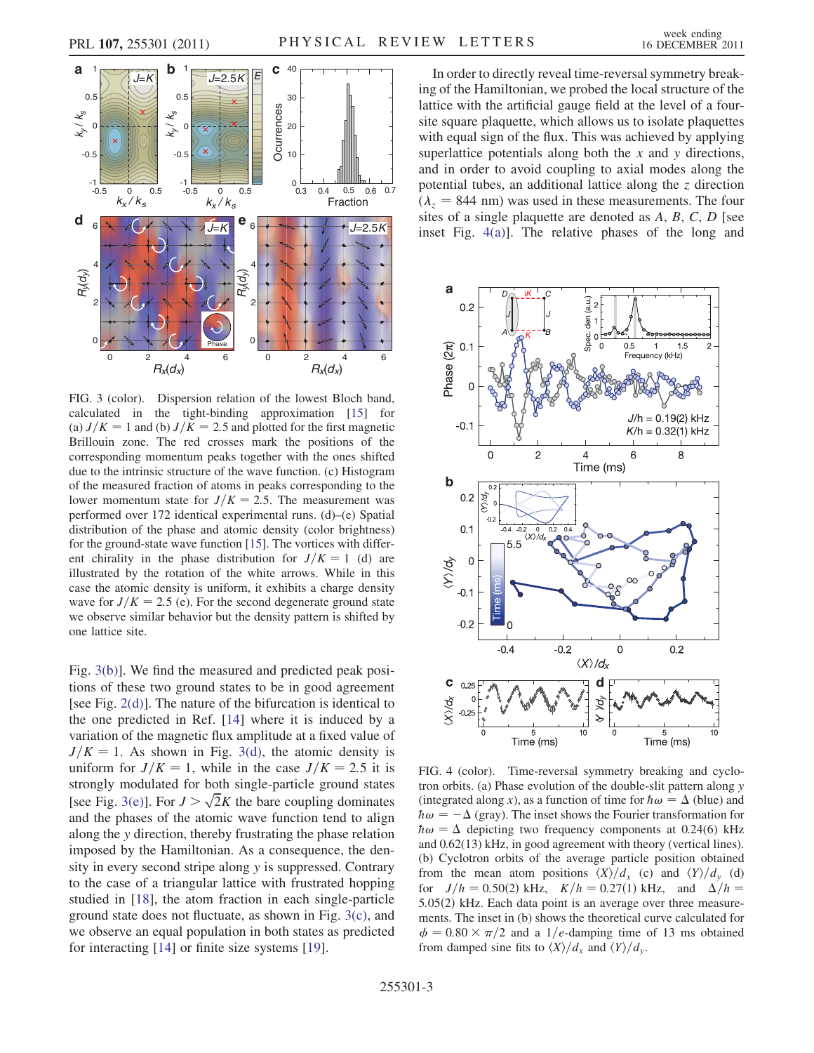



<span id="page-2-0"></span>FIG. 3 (color). Dispersion relation of the lowest Bloch band, calculated in the tight-binding approximation [\[15\]](#page-3-15) for (a)  $J/K = 1$  and (b)  $J/K = 2.5$  and plotted for the first magnetic Brillouin zone. The red crosses mark the positions of the corresponding momentum peaks together with the ones shifted due to the intrinsic structure of the wave function. (c) Histogram of the measured fraction of atoms in peaks corresponding to the lower momentum state for  $J/K = 2.5$ . The measurement was performed over 172 identical experimental runs. (d)–(e) Spatial distribution of the phase and atomic density (color brightness) for the ground-state wave function [[15](#page-3-15)]. The vortices with different chirality in the phase distribution for  $J/K = 1$  (d) are illustrated by the rotation of the white arrows. While in this case the atomic density is uniform, it exhibits a charge density wave for  $J/K = 2.5$  (e). For the second degenerate ground state we observe similar behavior but the density pattern is shifted by one lattice site.

Fig. [3\(b\)\]](#page-2-0). We find the measured and predicted peak positions of these two ground states to be in good agreement [see Fig.  $2(d)$ ]. The nature of the bifurcation is identical to the one predicted in Ref. [\[14\]](#page-3-14) where it is induced by a variation of the magnetic flux amplitude at a fixed value of  $J/K = 1$ . As shown in Fig. [3\(d\),](#page-2-0) the atomic density is uniform for  $J/K = 1$ , while in the case  $J/K = 2.5$  it is strongly modulated for both single-particle ground states [see Fig. [3\(e\)](#page-2-0)]. For  $J > \sqrt{2}K$  the bare coupling dominates and the phases of the atomic wave function tend to align along the y direction, thereby frustrating the phase relation imposed by the Hamiltonian. As a consequence, the density in every second stripe along y is suppressed. Contrary to the case of a triangular lattice with frustrated hopping studied in [\[18](#page-3-17)], the atom fraction in each single-particle ground state does not fluctuate, as shown in Fig. [3\(c\)](#page-2-0), and we observe an equal population in both states as predicted for interacting [[14](#page-3-14)] or finite size systems [[19](#page-4-0)].

In order to directly reveal time-reversal symmetry breaking of the Hamiltonian, we probed the local structure of the lattice with the artificial gauge field at the level of a foursite square plaquette, which allows us to isolate plaquettes with equal sign of the flux. This was achieved by applying superlattice potentials along both the  $x$  and  $y$  directions, and in order to avoid coupling to axial modes along the potential tubes, an additional lattice along the  $\zeta$  direction  $(\lambda_z = 844 \text{ nm})$  was used in these measurements. The four sites of a single plaquette are denoted as A, B, C, D [see inset Fig. [4\(a\)](#page-2-1)]. The relative phases of the long and



<span id="page-2-1"></span>FIG. 4 (color). Time-reversal symmetry breaking and cyclotron orbits. (a) Phase evolution of the double-slit pattern along y (integrated along x), as a function of time for  $\hbar \omega = \Delta$  (blue) and  $\hbar \omega = -\Delta$  (gray). The inset shows the Fourier transformation for  $\hbar \omega = \Delta$  depicting two frequency components at 0.24(6) kHz and 0.62(13) kHz, in good agreement with theory (vertical lines). (b) Cyclotron orbits of the average particle position obtained from the mean atom positions  $\langle X \rangle / d_{x}$  (c) and  $\langle Y \rangle / d_{y}$  (d) for  $J/h = 0.50(2)$  kHz,  $K/h = 0.27(1)$  kHz, and  $\Delta/h =$ 5.05(2) kHz. Each data point is an average over three measurements. The inset in (b) shows the theoretical curve calculated for  $\phi = 0.80 \times \pi/2$  and a 1/e-damping time of 13 ms obtained from damped sine fits to  $\langle X \rangle / d_{x}$  and  $\langle Y \rangle / d_{y}$ .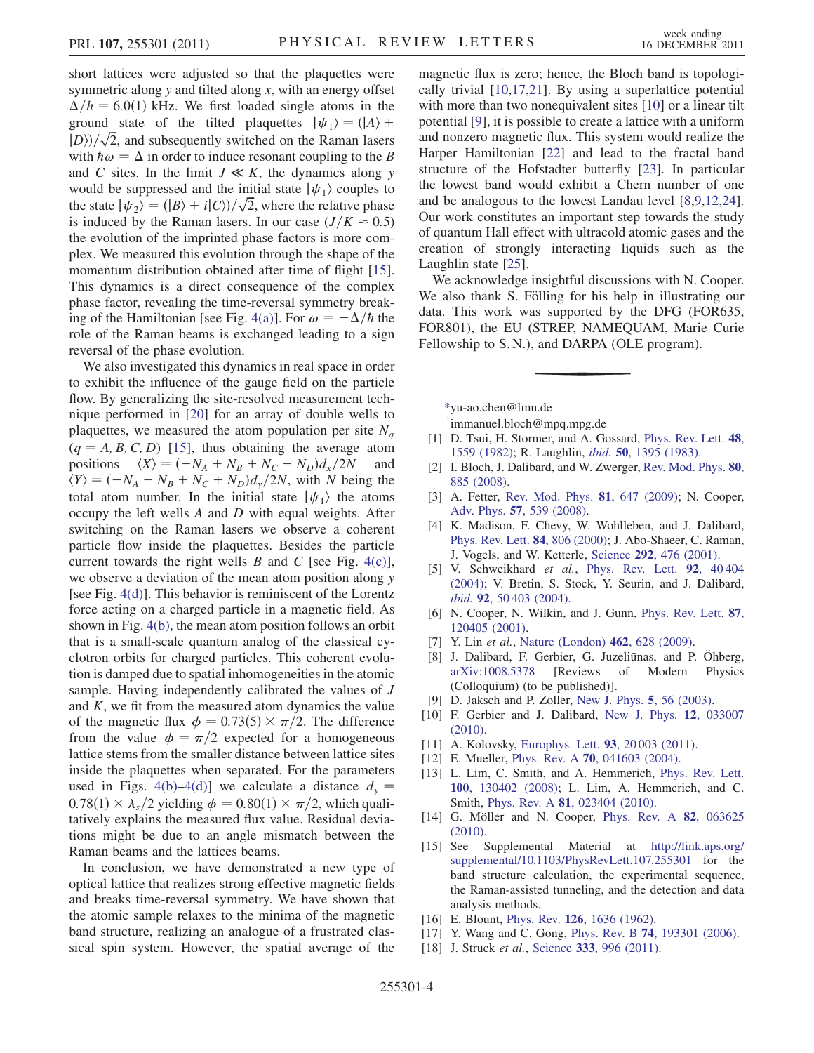short lattices were adjusted so that the plaquettes were symmetric along  $y$  and tilted along  $x$ , with an energy offset  $\Delta/h = 6.0(1)$  kHz. We first loaded single atoms in the ground state of the tilted plaquettes  $|\psi_1\rangle = (|A\rangle +$  $|D\rangle/\sqrt{2}$ , and subsequently switched on the Raman lasers with  $\hbar \omega = \Delta$  in order to induce resonant coupling to the B and C sites. In the limit  $J \ll K$ , the dynamics along y would be suppressed and the initial state  $|\psi_1\rangle$  couples to the state  $|\psi_2\rangle = (|B\rangle + i|C\rangle)/\sqrt{2}$ , where the relative phase is induced by the Raman lasers. In our case  $(J/K \approx 0.5)$ the evolution of the imprinted phase factors is more complex. We measured this evolution through the shape of the momentum distribution obtained after time of flight [\[15\]](#page-3-15). This dynamics is a direct consequence of the complex phase factor, revealing the time-reversal symmetry break-ing of the Hamiltonian [see Fig. [4\(a\)](#page-2-1)]. For  $\omega = -\Delta/\hbar$  the role of the Raman beams is exchanged leading to a sign reversal of the phase evolution.

We also investigated this dynamics in real space in order to exhibit the influence of the gauge field on the particle flow. By generalizing the site-resolved measurement technique performed in [\[20](#page-4-1)] for an array of double wells to plaquettes, we measured the atom population per site  $N_a$  $(q = A, B, C, D)$  [[15](#page-3-15)], thus obtaining the average atom positions  $\langle X \rangle = (-N_A + N_B + N_C - N_D)d_x/2N$  and  $\langle Y \rangle = (-N_A - N_B + N_C + N_D)d_y/2N$ , with N being the total atom number. In the initial state  $|\psi_1\rangle$  the atoms occupy the left wells A and D with equal weights. After switching on the Raman lasers we observe a coherent particle flow inside the plaquettes. Besides the particle current towards the right wells  $B$  and  $C$  [see Fig. [4\(c\)\]](#page-2-1), we observe a deviation of the mean atom position along y [see Fig. [4\(d\)\]](#page-2-1). This behavior is reminiscent of the Lorentz force acting on a charged particle in a magnetic field. As shown in Fig. [4\(b\),](#page-2-1) the mean atom position follows an orbit that is a small-scale quantum analog of the classical cyclotron orbits for charged particles. This coherent evolution is damped due to spatial inhomogeneities in the atomic sample. Having independently calibrated the values of J and  $K$ , we fit from the measured atom dynamics the value of the magnetic flux  $\phi = 0.73(5) \times \pi/2$ . The difference from the value  $\phi = \pi/2$  expected for a homogeneous lattice stems from the smaller distance between lattice sites inside the plaquettes when separated. For the parameters used in Figs. [4\(b\)–4\(d\)](#page-2-1)] we calculate a distance  $d<sub>v</sub>$  =  $0.78(1) \times \lambda_s/2$  yielding  $\phi = 0.80(1) \times \pi/2$ , which qualitatively explains the measured flux value. Residual deviations might be due to an angle mismatch between the Raman beams and the lattices beams.

In conclusion, we have demonstrated a new type of optical lattice that realizes strong effective magnetic fields and breaks time-reversal symmetry. We have shown that the atomic sample relaxes to the minima of the magnetic band structure, realizing an analogue of a frustrated classical spin system. However, the spatial average of the magnetic flux is zero; hence, the Bloch band is topologically trivial [\[10,](#page-3-11)[17,](#page-3-16)[21\]](#page-4-2). By using a superlattice potential with more than two nonequivalent sites [\[10\]](#page-3-11) or a linear tilt potential [[9\]](#page-3-10), it is possible to create a lattice with a uniform and nonzero magnetic flux. This system would realize the Harper Hamiltonian [\[22\]](#page-4-3) and lead to the fractal band structure of the Hofstadter butterfly [[23](#page-4-4)]. In particular the lowest band would exhibit a Chern number of one and be analogous to the lowest Landau level [[8,](#page-3-9)[9](#page-3-10)[,12,](#page-3-12)[24\]](#page-4-5). Our work constitutes an important step towards the study of quantum Hall effect with ultracold atomic gases and the creation of strongly interacting liquids such as the Laughlin state [[25](#page-4-6)].

We acknowledge insightful discussions with N. Cooper. We also thank S. Fölling for his help in illustrating our data. This work was supported by the DFG (FOR635, FOR801), the EU (STREP, NAMEQUAM, Marie Curie Fellowship to S. N.), and DARPA (OLE program).

<span id="page-3-1"></span><span id="page-3-0"></span>[\\*y](#page-0-1)u-ao.chen@lmu.de

[†](#page-0-1) immanuel.bloch@mpq.mpg.de

- <span id="page-3-2"></span>[1] D. Tsui, H. Stormer, and A. Gossard, [Phys. Rev. Lett.](http://dx.doi.org/10.1103/PhysRevLett.48.1559) 48, [1559 \(1982\)](http://dx.doi.org/10.1103/PhysRevLett.48.1559); R. Laughlin, ibid. 50[, 1395 \(1983\)](http://dx.doi.org/10.1103/PhysRevLett.50.1395).
- <span id="page-3-3"></span>[2] I. Bloch, J. Dalibard, and W. Zwerger, [Rev. Mod. Phys.](http://dx.doi.org/10.1103/RevModPhys.80.885) 80, [885 \(2008\)](http://dx.doi.org/10.1103/RevModPhys.80.885).
- <span id="page-3-4"></span>[3] A. Fetter, [Rev. Mod. Phys.](http://dx.doi.org/10.1103/RevModPhys.81.647) **81**, 647 (2009); N. Cooper, Adv. Phys. 57[, 539 \(2008\)](http://dx.doi.org/10.1080/00018730802564122).
- <span id="page-3-5"></span>[4] K. Madison, F. Chevy, W. Wohlleben, and J. Dalibard, [Phys. Rev. Lett.](http://dx.doi.org/10.1103/PhysRevLett.84.806) 84, 806 (2000); J. Abo-Shaeer, C. Raman, J. Vogels, and W. Ketterle, Science 292[, 476 \(2001\).](http://dx.doi.org/10.1126/science.1060182)
- <span id="page-3-6"></span>[5] V. Schweikhard et al., [Phys. Rev. Lett.](http://dx.doi.org/10.1103/PhysRevLett.92.040404) 92, 40404 [\(2004\)](http://dx.doi.org/10.1103/PhysRevLett.92.040404); V. Bretin, S. Stock, Y. Seurin, and J. Dalibard, ibid. 92[, 50 403 \(2004\)](http://dx.doi.org/10.1103/PhysRevLett.92.050403).
- <span id="page-3-7"></span>[6] N. Cooper, N. Wilkin, and J. Gunn, [Phys. Rev. Lett.](http://dx.doi.org/10.1103/PhysRevLett.87.120405) 87, [120405 \(2001\).](http://dx.doi.org/10.1103/PhysRevLett.87.120405)
- <span id="page-3-9"></span><span id="page-3-8"></span>[7] Y. Lin et al., [Nature \(London\)](http://dx.doi.org/10.1038/nature08609) 462, 628 (2009).
- [8] J. Dalibard, F. Gerbier, G. Juzeliūnas, and P. Öhberg, [arXiv:1008.5378](http://arXiv.org/abs/1008.5378) [Reviews of Modern Physics (Colloquium) (to be published)].
- <span id="page-3-11"></span><span id="page-3-10"></span>[9] D. Jaksch and P. Zoller, [New J. Phys.](http://dx.doi.org/10.1088/1367-2630/5/1/356) **5**, 56 (2003).
- [10] F. Gerbier and J. Dalibard, [New J. Phys.](http://dx.doi.org/10.1088/1367-2630/12/3/033007) 12, 033007 [\(2010\)](http://dx.doi.org/10.1088/1367-2630/12/3/033007).
- <span id="page-3-12"></span>[11] A. Kolovsky, [Europhys. Lett.](http://dx.doi.org/10.1209/0295-5075/93/20003) **93**, 20003 (2011).
- <span id="page-3-13"></span>[12] E. Mueller, Phys. Rev. A **70**[, 041603 \(2004\)](http://dx.doi.org/10.1103/PhysRevA.70.041603).
- [13] L. Lim, C. Smith, and A. Hemmerich, [Phys. Rev. Lett.](http://dx.doi.org/10.1103/PhysRevLett.100.130402) 100[, 130402 \(2008\);](http://dx.doi.org/10.1103/PhysRevLett.100.130402) L. Lim, A. Hemmerich, and C. Smith, Phys. Rev. A 81[, 023404 \(2010\).](http://dx.doi.org/10.1103/PhysRevA.81.023404)
- <span id="page-3-14"></span>[14] G. Möller and N. Cooper, [Phys. Rev. A](http://dx.doi.org/10.1103/PhysRevA.82.063625) 82, 063625 [\(2010\)](http://dx.doi.org/10.1103/PhysRevA.82.063625).
- <span id="page-3-15"></span>[15] See Supplemental Material at [http://link.aps.org/](http://link.aps.org/supplemental/10.1103/PhysRevLett.107.255301) [supplemental/10.1103/PhysRevLett.107.255301](http://link.aps.org/supplemental/10.1103/PhysRevLett.107.255301) for the band structure calculation, the experimental sequence, the Raman-assisted tunneling, and the detection and data analysis methods.
- <span id="page-3-16"></span>[16] E. Blount, *Phys. Rev.* **126**[, 1636 \(1962\).](http://dx.doi.org/10.1103/PhysRev.126.1636)
- <span id="page-3-17"></span>[17] Y. Wang and C. Gong, Phys. Rev. B **74**[, 193301 \(2006\)](http://dx.doi.org/10.1103/PhysRevB.74.193301).
- [18] J. Struck et al., Science 333[, 996 \(2011\)](http://dx.doi.org/10.1126/science.1207239).